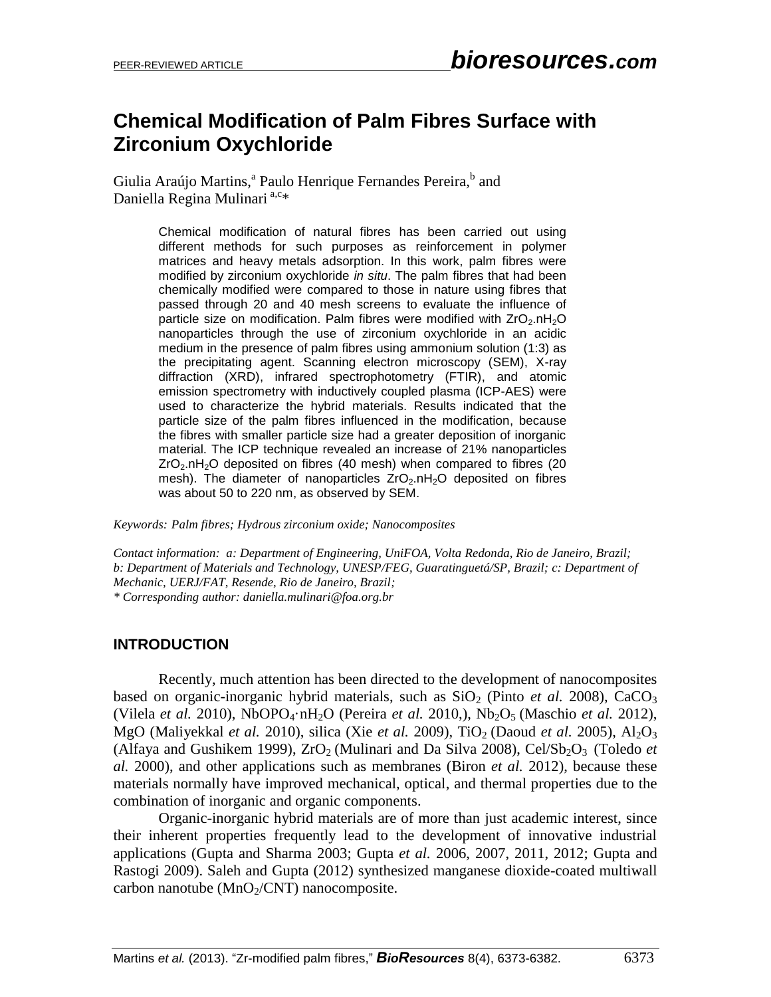# **Chemical Modification of Palm Fibres Surface with Zirconium Oxychloride**

Giulia Araújo Martins,<sup>a</sup> Paulo Henrique Fernandes Pereira,<sup>b</sup> and Daniella Regina Mulinari<sup>a,c\*</sup>

> Chemical modification of natural fibres has been carried out using different methods for such purposes as reinforcement in polymer matrices and heavy metals adsorption. In this work, palm fibres were modified by zirconium oxychloride *in situ*. The palm fibres that had been chemically modified were compared to those in nature using fibres that passed through 20 and 40 mesh screens to evaluate the influence of particle size on modification. Palm fibres were modified with  $ZrO<sub>2</sub> nH<sub>2</sub>O$ nanoparticles through the use of zirconium oxychloride in an acidic medium in the presence of palm fibres using ammonium solution (1:3) as the precipitating agent. Scanning electron microscopy (SEM), X-ray diffraction (XRD), infrared spectrophotometry (FTIR), and atomic emission spectrometry with inductively coupled plasma (ICP-AES) were used to characterize the hybrid materials. Results indicated that the particle size of the palm fibres influenced in the modification, because the fibres with smaller particle size had a greater deposition of inorganic material. The ICP technique revealed an increase of 21% nanoparticles  $ZrO<sub>2</sub>$ .nH<sub>2</sub>O deposited on fibres (40 mesh) when compared to fibres (20 mesh). The diameter of nanoparticles  $ZrO<sub>2</sub>$ .nH<sub>2</sub>O deposited on fibres was about 50 to 220 nm, as observed by SEM.

*Keywords: Palm fibres; Hydrous zirconium oxide; Nanocomposites*

*Contact information: a: Department of Engineering, UniFOA, Volta Redonda, Rio de Janeiro, Brazil; b: Department of Materials and Technology, UNESP/FEG, Guaratinguetá/SP, Brazil; c: Department of Mechanic, UERJ/FAT, Resende, Rio de Janeiro, Brazil;*

*\* Corresponding author: daniella.mulinari@foa.org.br* 

### **INTRODUCTION**

Recently, much attention has been directed to the development of nanocomposites based on organic-inorganic hybrid materials, such as  $SiO<sub>2</sub>$  (Pinto *et al.* 2008), CaCO<sub>3</sub> (Vilela *et al.* 2010), NbOPO4·nH2O (Pereira *et al.* 2010,), Nb2O5 (Maschio *et al.* 2012), MgO (Maliyekkal *et al.* 2010), silica (Xie *et al.* 2009), TiO<sub>2</sub> (Daoud *et al.* 2005), Al<sub>2</sub>O<sub>3</sub> (Alfaya and Gushikem 1999),  $ZrO<sub>2</sub>$  (Mulinari and Da Silva 2008), Cel/Sb<sub>2</sub>O<sub>3</sub> (Toledo *et al.* 2000), and other applications such as membranes (Biron *et al.* 2012), because these materials normally have improved mechanical, optical, and thermal properties due to the combination of inorganic and organic components.

Organic-inorganic hybrid materials are of more than just academic interest, since their inherent properties frequently lead to the development of innovative industrial applications (Gupta and Sharma 2003; Gupta *et al.* 2006, 2007, 2011, 2012; Gupta and Rastogi 2009). Saleh and Gupta (2012) synthesized manganese dioxide-coated multiwall carbon nanotube ( $MnO<sub>2</sub>/CNT$ ) nanocomposite.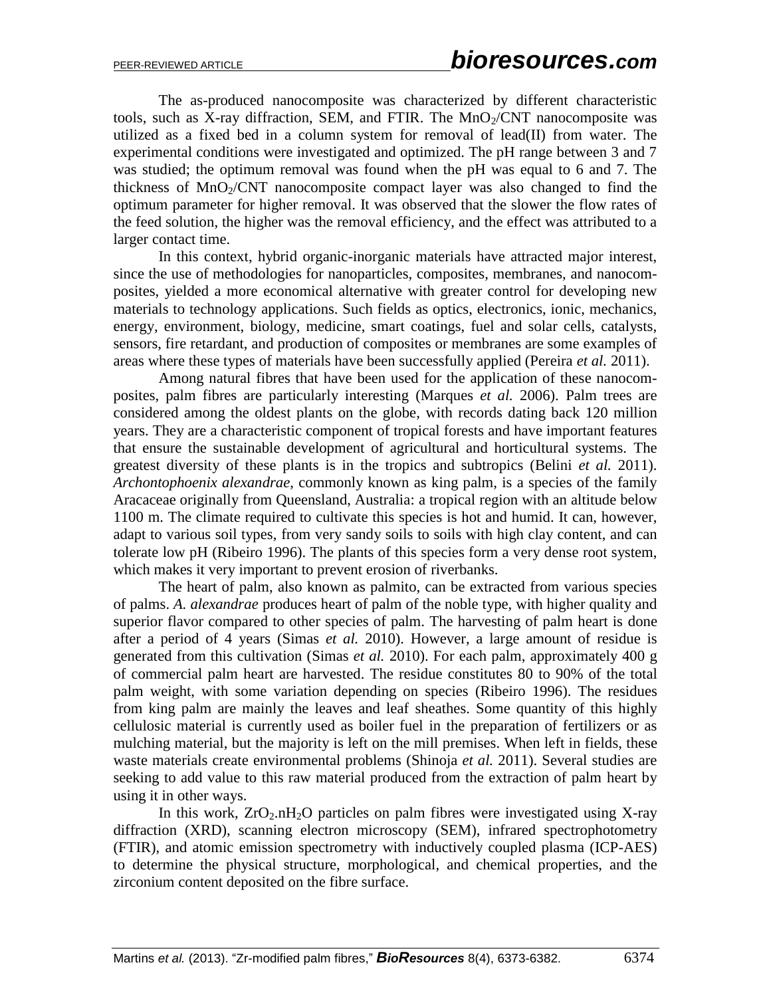The as-produced nanocomposite was characterized by different characteristic tools, such as X-ray diffraction, SEM, and FTIR. The  $MnO<sub>2</sub>/CNT$  nanocomposite was utilized as a fixed bed in a column system for removal of lead(II) from water. The experimental conditions were investigated and optimized. The pH range between 3 and 7 was studied; the optimum removal was found when the pH was equal to 6 and 7. The thickness of  $MnO<sub>2</sub>/CNT$  nanocomposite compact layer was also changed to find the optimum parameter for higher removal. It was observed that the slower the flow rates of the feed solution, the higher was the removal efficiency, and the effect was attributed to a larger contact time.

In this context, hybrid organic-inorganic materials have attracted major interest, since the use of methodologies for nanoparticles, composites, membranes, and nanocomposites, yielded a more economical alternative with greater control for developing new materials to technology applications. Such fields as optics, electronics, ionic, mechanics, energy, environment, biology, medicine, smart coatings, fuel and solar cells, catalysts, sensors, fire retardant, and production of composites or membranes are some examples of areas where these types of materials have been successfully applied (Pereira *et al.* 2011).

Among natural fibres that have been used for the application of these nanocomposites, palm fibres are particularly interesting (Marques *et al.* 2006). Palm trees are considered among the oldest plants on the globe, with records dating back 120 million years. They are a characteristic component of tropical forests and have important features that ensure the sustainable development of agricultural and horticultural systems. The greatest diversity of these plants is in the tropics and subtropics (Belini *et al.* 2011). *Archontophoenix alexandrae*, commonly known as king palm, is a species of the family Aracaceae originally from Queensland, Australia: a tropical region with an altitude below 1100 m. The climate required to cultivate this species is hot and humid. It can, however, adapt to various soil types, from very sandy soils to soils with high clay content, and can tolerate low pH (Ribeiro 1996). The plants of this species form a very dense root system, which makes it very important to prevent erosion of riverbanks.

The heart of palm, also known as palmito, can be extracted from various species of palms. *A. alexandrae* produces heart of palm of the noble type, with higher quality and superior flavor compared to other species of palm. The harvesting of palm heart is done after a period of 4 years (Simas *et al.* 2010). However, a large amount of residue is generated from this cultivation (Simas *et al.* 2010). For each palm, approximately 400 g of commercial palm heart are harvested. The residue constitutes 80 to 90% of the total palm weight, with some variation depending on species (Ribeiro 1996). The residues from king palm are mainly the leaves and leaf sheathes. Some quantity of this highly cellulosic material is currently used as boiler fuel in the preparation of fertilizers or as mulching material, but the majority is left on the mill premises. When left in fields, these waste materials create environmental problems (Shinoja *et al.* 2011). Several studies are seeking to add value to this raw material produced from the extraction of palm heart by using it in other ways.

In this work,  $ZrO<sub>2</sub> nH<sub>2</sub>O$  particles on palm fibres were investigated using X-ray diffraction (XRD), scanning electron microscopy (SEM), infrared spectrophotometry (FTIR), and atomic emission spectrometry with inductively coupled plasma (ICP-AES) to determine the physical structure, morphological, and chemical properties, and the zirconium content deposited on the fibre surface.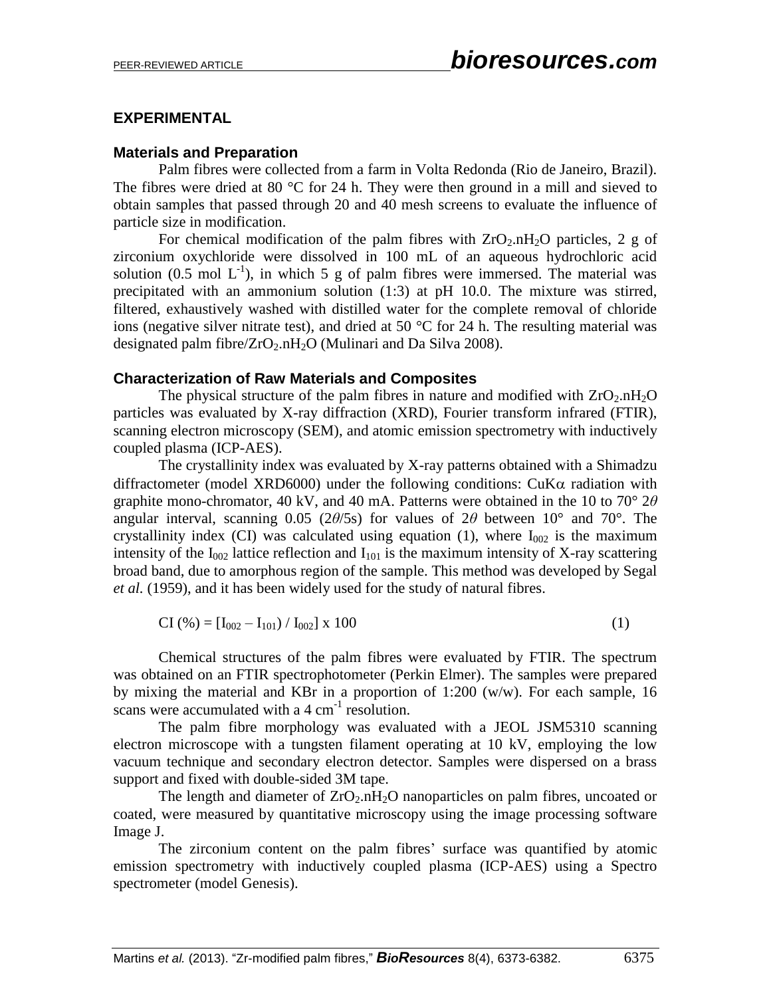## **EXPERIMENTAL**

## **Materials and Preparation**

Palm fibres were collected from a farm in Volta Redonda (Rio de Janeiro, Brazil). The fibres were dried at 80  $\degree$ C for 24 h. They were then ground in a mill and sieved to obtain samples that passed through 20 and 40 mesh screens to evaluate the influence of particle size in modification.

For chemical modification of the palm fibres with  $ZrO_2.nH_2O$  particles, 2 g of zirconium oxychloride were dissolved in 100 mL of an aqueous hydrochloric acid solution (0.5 mol  $L^{-1}$ ), in which 5 g of palm fibres were immersed. The material was precipitated with an ammonium solution (1:3) at pH 10.0. The mixture was stirred, filtered, exhaustively washed with distilled water for the complete removal of chloride ions (negative silver nitrate test), and dried at 50  $\degree$ C for 24 h. The resulting material was designated palm fibre/ $ZrO_2.nH_2O$  (Mulinari and Da Silva 2008).

#### **Characterization of Raw Materials and Composites**

The physical structure of the palm fibres in nature and modified with  $ZrO_2.nH_2O$ particles was evaluated by X-ray diffraction (XRD), Fourier transform infrared (FTIR), scanning electron microscopy (SEM), and atomic emission spectrometry with inductively coupled plasma (ICP-AES).

The crystallinity index was evaluated by X-ray patterns obtained with a Shimadzu diffractometer (model XRD6000) under the following conditions:  $CuK\alpha$  radiation with graphite mono-chromator, 40 kV, and 40 mA. Patterns were obtained in the 10 to 70° 2*θ* angular interval, scanning 0.05 (2*θ*/5s) for values of 2*θ* between 10° and 70°. The crystallinity index (CI) was calculated using equation (1), where  $I_{002}$  is the maximum intensity of the  $I_{002}$  lattice reflection and  $I_{101}$  is the maximum intensity of X-ray scattering broad band, due to amorphous region of the sample. This method was developed by Segal *et al.* (1959), and it has been widely used for the study of natural fibres.

$$
CI (%) = [I002 - I101) / I002] x 100
$$
 (1)

Chemical structures of the palm fibres were evaluated by FTIR. The spectrum was obtained on an FTIR spectrophotometer (Perkin Elmer). The samples were prepared by mixing the material and KBr in a proportion of 1:200 (w/w). For each sample, 16 scans were accumulated with a  $4 \text{ cm}^{-1}$  resolution.

The palm fibre morphology was evaluated with a JEOL JSM5310 scanning electron microscope with a tungsten filament operating at 10 kV, employing the low vacuum technique and secondary electron detector. Samples were dispersed on a brass support and fixed with double-sided 3M tape.

The length and diameter of  $ZrO<sub>2</sub> nH<sub>2</sub>O$  nanoparticles on palm fibres, uncoated or coated, were measured by quantitative microscopy using the image processing software Image J.

The zirconium content on the palm fibres' surface was quantified by atomic emission spectrometry with inductively coupled plasma (ICP-AES) using a Spectro spectrometer (model Genesis).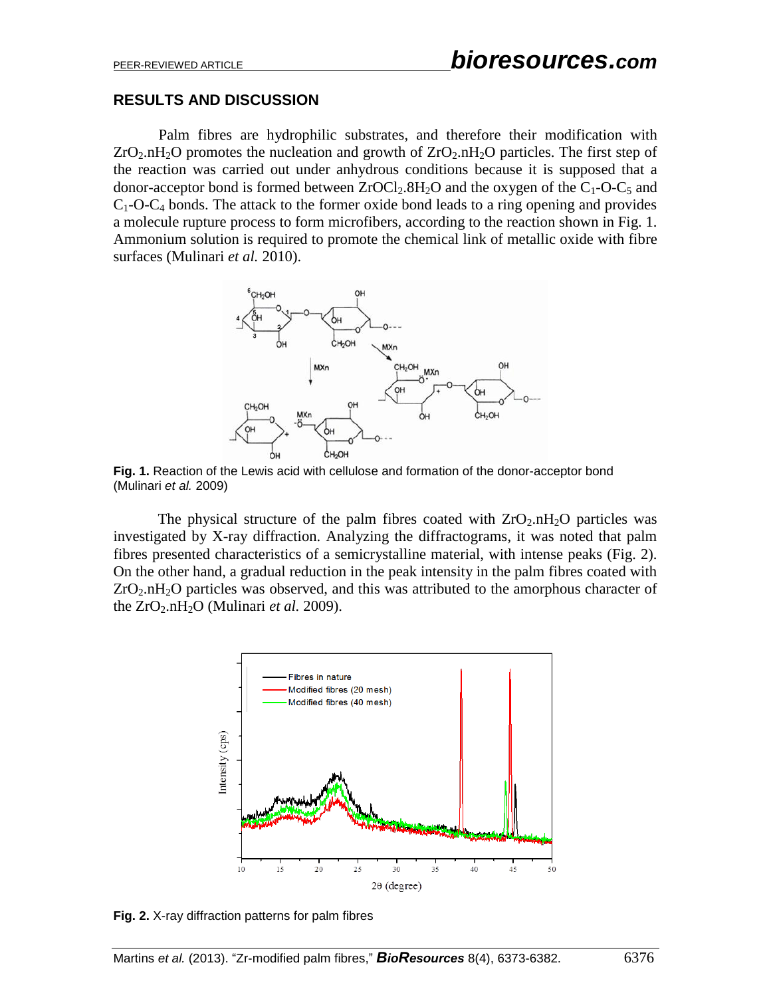#### **RESULTS AND DISCUSSION**

Palm fibres are hydrophilic substrates, and therefore their modification with  $ZrO<sub>2</sub> nH<sub>2</sub>O$  promotes the nucleation and growth of  $ZrO<sub>2</sub> nH<sub>2</sub>O$  particles. The first step of the reaction was carried out under anhydrous conditions because it is supposed that a donor-acceptor bond is formed between  $ZrOCl_2.8H_2O$  and the oxygen of the  $C_1-O-C_5$  and  $C_1$ -O-C<sub>4</sub> bonds. The attack to the former oxide bond leads to a ring opening and provides a molecule rupture process to form microfibers, according to the reaction shown in Fig. 1. Ammonium solution is required to promote the chemical link of metallic oxide with fibre surfaces (Mulinari *et al.* 2010).



Fig. 1. Reaction of the Lewis acid with cellulose and formation of the donor-acceptor bond (Mulinari *et al.* 2009)

The physical structure of the palm fibres coated with  $ZrO<sub>2</sub> nH<sub>2</sub>O$  particles was investigated by X-ray diffraction. Analyzing the diffractograms, it was noted that palm fibres presented characteristics of a semicrystalline material, with intense peaks (Fig. 2). On the other hand, a gradual reduction in the peak intensity in the palm fibres coated with  $ZrO<sub>2</sub> nH<sub>2</sub>O$  particles was observed, and this was attributed to the amorphous character of the  $ZrO_2.nH_2O$  (Mulinari *et al.* 2009).



**Fig. 2.** X-ray diffraction patterns for palm fibres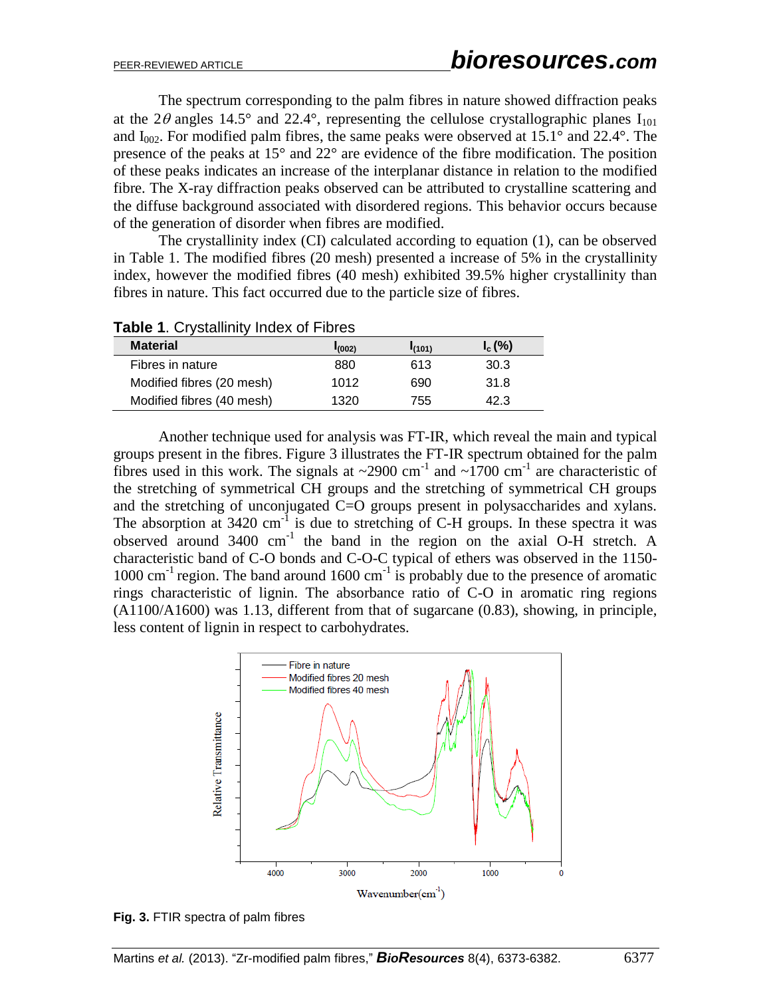The spectrum corresponding to the palm fibres in nature showed diffraction peaks at the 2 $\theta$  angles 14.5° and 22.4°, representing the cellulose crystallographic planes  $I_{101}$ and  $I_{002}$ . For modified palm fibres, the same peaks were observed at 15.1° and 22.4°. The presence of the peaks at 15° and 22° are evidence of the fibre modification. The position of these peaks indicates an increase of the interplanar distance in relation to the modified fibre. The X-ray diffraction peaks observed can be attributed to crystalline scattering and the diffuse background associated with disordered regions. This behavior occurs because of the generation of disorder when fibres are modified.

The crystallinity index (CI) calculated according to equation (1), can be observed in Table 1. The modified fibres (20 mesh) presented a increase of 5% in the crystallinity index, however the modified fibres (40 mesh) exhibited 39.5% higher crystallinity than fibres in nature. This fact occurred due to the particle size of fibres.

| <b>TUDIO 1.</b> Oryotalities indox of Fibros |             |        |           |  |
|----------------------------------------------|-------------|--------|-----------|--|
| <b>Material</b>                              | $I_{(002)}$ | I(101) | $I_c$ (%) |  |
| Fibres in nature                             | 880         | 613    | 30.3      |  |
| Modified fibres (20 mesh)                    | 1012        | 690    | 31.8      |  |
| Modified fibres (40 mesh)                    | 1320        | 755    | 42.3      |  |

**Table 1**. Crystallinity Index of Fibres

Another technique used for analysis was FT-IR, which reveal the main and typical groups present in the fibres. Figure 3 illustrates the FT-IR spectrum obtained for the palm fibres used in this work. The signals at  $\sim$ 2900 cm<sup>-1</sup> and  $\sim$ 1700 cm<sup>-1</sup> are characteristic of the stretching of symmetrical CH groups and the stretching of symmetrical CH groups and the stretching of unconjugated C=O groups present in polysaccharides and xylans. The absorption at  $3420 \text{ cm}^{-1}$  is due to stretching of C-H groups. In these spectra it was observed around 3400 cm<sup>-1</sup> the band in the region on the axial O-H stretch. A characteristic band of C-O bonds and C-O-C typical of ethers was observed in the 1150- 1000 cm<sup>-1</sup> region. The band around 1600 cm<sup>-1</sup> is probably due to the presence of aromatic rings characteristic of lignin. The absorbance ratio of C-O in aromatic ring regions (A1100/A1600) was 1.13, different from that of sugarcane (0.83), showing, in principle, less content of lignin in respect to carbohydrates.



**Fig. 3.** FTIR spectra of palm fibres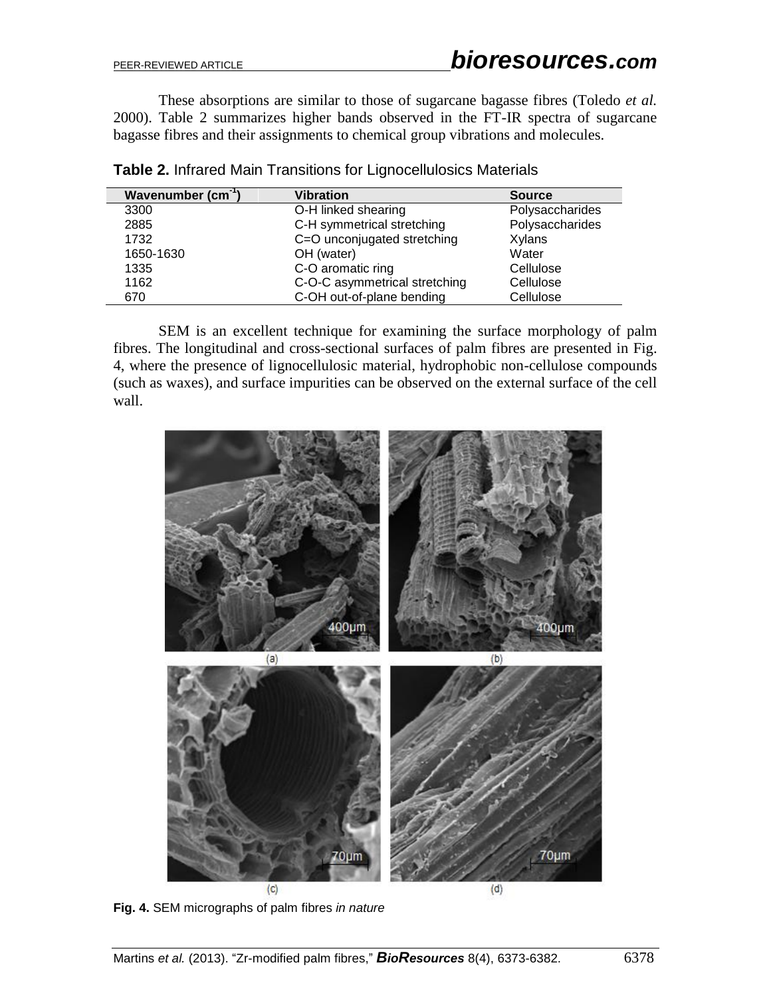These absorptions are similar to those of sugarcane bagasse fibres (Toledo *et al.* 2000). Table 2 summarizes higher bands observed in the FT-IR spectra of sugarcane bagasse fibres and their assignments to chemical group vibrations and molecules.

| Wavenumber (cm <sup>-1</sup> ) | <b>Vibration</b>              | <b>Source</b>   |
|--------------------------------|-------------------------------|-----------------|
| 3300                           | O-H linked shearing           | Polysaccharides |
| 2885                           | C-H symmetrical stretching    | Polysaccharides |
| 1732                           | C=O unconjugated stretching   | Xylans          |
| 1650-1630                      | OH (water)                    | Water           |
| 1335                           | C-O aromatic ring             | Cellulose       |
| 1162                           | C-O-C asymmetrical stretching | Cellulose       |
| 670                            | C-OH out-of-plane bending     | Cellulose       |

SEM is an excellent technique for examining the surface morphology of palm fibres. The longitudinal and cross-sectional surfaces of palm fibres are presented in Fig. 4, where the presence of lignocellulosic material, hydrophobic non-cellulose compounds (such as waxes), and surface impurities can be observed on the external surface of the cell wall.



**Fig. 4.** SEM micrographs of palm fibres *in nature*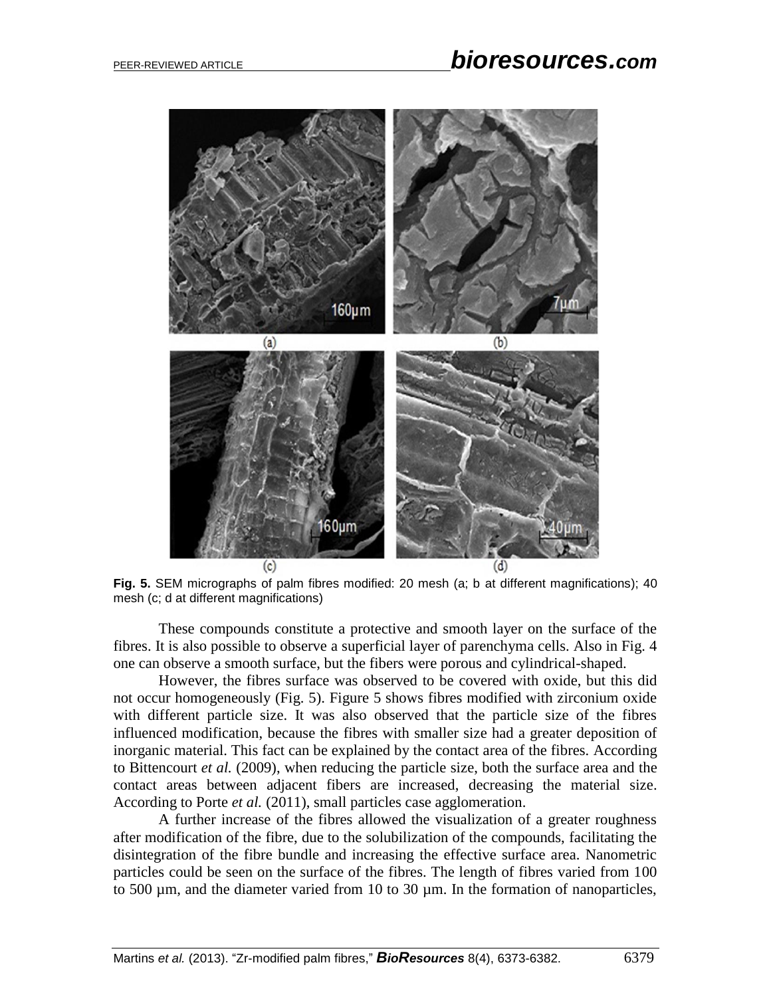

**Fig. 5.** SEM micrographs of palm fibres modified: 20 mesh (a; b at different magnifications); 40 mesh (c; d at different magnifications)

These compounds constitute a protective and smooth layer on the surface of the fibres. It is also possible to observe a superficial layer of parenchyma cells. Also in Fig. 4 one can observe a smooth surface, but the fibers were porous and cylindrical-shaped.

However, the fibres surface was observed to be covered with oxide, but this did not occur homogeneously (Fig. 5). Figure 5 shows fibres modified with zirconium oxide with different particle size. It was also observed that the particle size of the fibres influenced modification, because the fibres with smaller size had a greater deposition of inorganic material. This fact can be explained by the contact area of the fibres. According to Bittencourt *et al.* (2009), when reducing the particle size, both the surface area and the contact areas between adjacent fibers are increased, decreasing the material size. According to Porte *et al.* (2011), small particles case agglomeration.

A further increase of the fibres allowed the visualization of a greater roughness after modification of the fibre, due to the solubilization of the compounds, facilitating the disintegration of the fibre bundle and increasing the effective surface area. Nanometric particles could be seen on the surface of the fibres. The length of fibres varied from 100 to 500 µm, and the diameter varied from 10 to 30 µm. In the formation of nanoparticles,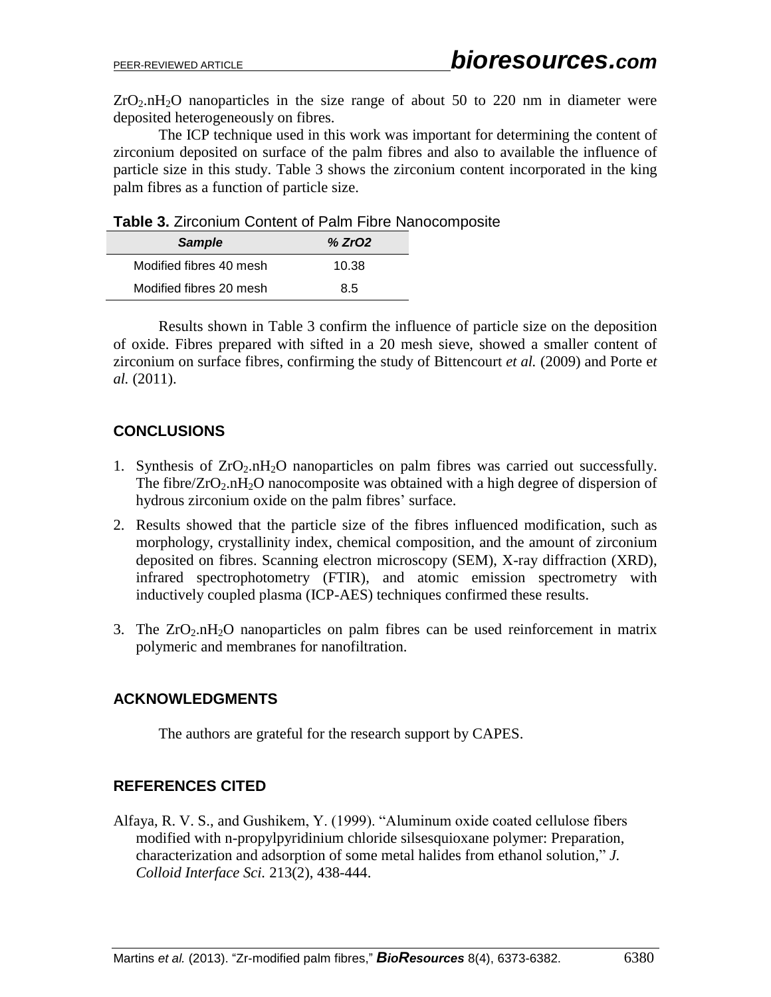$ZrO<sub>2</sub> nH<sub>2</sub>O$  nanoparticles in the size range of about 50 to 220 nm in diameter were deposited heterogeneously on fibres.

The ICP technique used in this work was important for determining the content of zirconium deposited on surface of the palm fibres and also to available the influence of particle size in this study. Table 3 shows the zirconium content incorporated in the king palm fibres as a function of particle size.

**Table 3.** Zirconium Content of Palm Fibre Nanocomposite

| Sample                  | % ZrO2 |
|-------------------------|--------|
| Modified fibres 40 mesh | 10.38  |
| Modified fibres 20 mesh | 85     |

Results shown in Table 3 confirm the influence of particle size on the deposition of oxide. Fibres prepared with sifted in a 20 mesh sieve, showed a smaller content of zirconium on surface fibres, confirming the study of Bittencourt *et al.* (2009) and Porte e*t al.* (2011).

# **CONCLUSIONS**

- 1. Synthesis of  $ZrO_2.nH_2O$  nanoparticles on palm fibres was carried out successfully. The fibre/ $ZrO_2.nH_2O$  nanocomposite was obtained with a high degree of dispersion of hydrous zirconium oxide on the palm fibres' surface.
- 2. Results showed that the particle size of the fibres influenced modification, such as morphology, crystallinity index, chemical composition, and the amount of zirconium deposited on fibres. Scanning electron microscopy (SEM), X-ray diffraction (XRD), infrared spectrophotometry (FTIR), and atomic emission spectrometry with inductively coupled plasma (ICP-AES) techniques confirmed these results.
- 3. The  $ZrO_2.nH_2O$  nanoparticles on palm fibres can be used reinforcement in matrix polymeric and membranes for nanofiltration.

# **ACKNOWLEDGMENTS**

The authors are grateful for the research support by CAPES.

# **REFERENCES CITED**

Alfaya, R. V. S., and Gushikem, Y. (1999). "Aluminum oxide coated cellulose fibers modified with n-propylpyridinium chloride silsesquioxane polymer: Preparation, characterization and adsorption of some metal halides from ethanol solution," *J. Colloid Interface Sci.* 213(2), 438-444.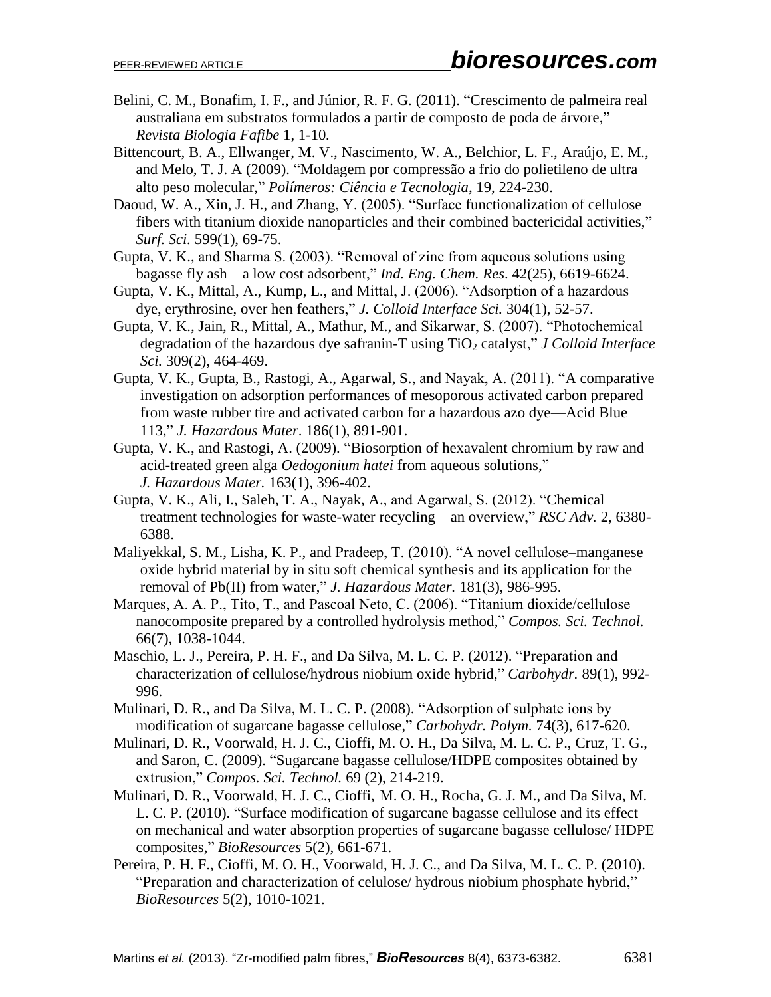- Belini, C. M., Bonafim, I. F., and Júnior, R. F. G. (2011). "Crescimento de palmeira real australiana em substratos formulados a partir de composto de poda de árvore," *Revista Biologia Fafibe* 1, 1-10*.*
- Bittencourt, B. A., Ellwanger, M. V., Nascimento, W. A., Belchior, L. F., Araújo, E. M., and Melo, T. J. A (2009). "Moldagem por compressão a frio do polietileno de ultra alto peso molecular," *Polímeros: Ciência e Tecnologia*, 19, 224-230.
- Daoud, W. A., Xin, J. H., and Zhang, Y. (2005). "Surface functionalization of cellulose fibers with titanium dioxide nanoparticles and their combined bactericidal activities," *Surf. Sci.* 599(1), 69-75.
- Gupta, V. K., and Sharma S. (2003). "Removal of zinc from aqueous solutions using bagasse fly ash—a low cost adsorbent," *Ind. Eng. Chem. Res*. 42(25), 6619-6624.
- Gupta, V. K., Mittal, A., Kump, L., and Mittal, J. (2006). "Adsorption of a hazardous dye, erythrosine, over hen feathers," *J. Colloid Interface Sci.* 304(1), 52-57.
- Gupta, V. K., Jain, R., Mittal, A., Mathur, M., and Sikarwar, S. (2007). "Photochemical degradation of the hazardous dye safranin-T using TiO<sub>2</sub> catalyst," *J Colloid Interface Sci.* 309(2), 464-469.
- Gupta, V. K., Gupta, B., Rastogi, A., Agarwal, S., and Nayak, A. (2011). ["A comparative](http://scholar.google.com/citations?view_op=view_citation&hl=en&user=0mc0D7wAAAAJ&cstart=40&citation_for_view=0mc0D7wAAAAJ:3s1wT3WcHBgC)  [investigation on adsorption performances of mesoporous activated carbon prepared](http://scholar.google.com/citations?view_op=view_citation&hl=en&user=0mc0D7wAAAAJ&cstart=40&citation_for_view=0mc0D7wAAAAJ:3s1wT3WcHBgC)  [from waste rubber tire and activated carbon for a hazardous azo dye—Acid Blue](http://scholar.google.com/citations?view_op=view_citation&hl=en&user=0mc0D7wAAAAJ&cstart=40&citation_for_view=0mc0D7wAAAAJ:3s1wT3WcHBgC)  [113,](http://scholar.google.com/citations?view_op=view_citation&hl=en&user=0mc0D7wAAAAJ&cstart=40&citation_for_view=0mc0D7wAAAAJ:3s1wT3WcHBgC)" *J. Hazardous Mater*. 186(1), 891-901.
- Gupta, V. K., and Rastogi, A. (2009). ["Biosorption of hexavalent chromium by raw and](http://scholar.google.com/citations?view_op=view_citation&hl=en&user=0mc0D7wAAAAJ&citation_for_view=0mc0D7wAAAAJ:UebtZRa9Y70C)  acid-treated green alga *Oedogonium hatei* [from aqueous solutions,](http://scholar.google.com/citations?view_op=view_citation&hl=en&user=0mc0D7wAAAAJ&citation_for_view=0mc0D7wAAAAJ:UebtZRa9Y70C)" *J. Hazardous Mater.* 163(1), 396-402.
- Gupta, V. K., Ali, I., Saleh, T. A., Nayak, A., and Agarwal, S. (2012). "Chemical treatment technologies for waste-water recycling—an overview," *RSC Adv.* 2, 6380- 6388.
- Maliyekkal, S. M., Lisha, K. P., and Pradeep, T. (2010). "A novel cellulose–manganese oxide hybrid material by in situ soft chemical synthesis and its application for the removal of Pb(II) from water," *J. Hazardous Mater.* 181(3), 986-995.
- Marques, A. A. P., Tito, T., and Pascoal Neto, C. (2006). "Titanium dioxide/cellulose nanocomposite prepared by a controlled hydrolysis method," *Compos. Sci. Technol.* 66(7), 1038-1044.
- Maschio, L. J., Pereira, P. H. F., and Da Silva, M. L. C. P. (2012). "Preparation and characterization of cellulose/hydrous niobium oxide hybrid," *Carbohydr.* 89(1), 992- 996.
- Mulinari, D. R., and Da Silva, M. L. C. P. (2008). "Adsorption of sulphate ions by modification of sugarcane bagasse cellulose," *Carbohydr. Polym.* 74(3), 617-620.
- Mulinari, D. R., Voorwald, H. J. C., Cioffi, M. O. H., Da Silva, M. L. C. P., Cruz, T. G., and Saron, C. (2009). "Sugarcane bagasse cellulose/HDPE composites obtained by extrusion," *Compos. Sci. Technol.* 69 (2), 214-219.
- Mulinari, D. R., Voorwald, H. J. C., Cioffi, M. O. H., Rocha, G. J. M., and Da Silva, M. L. C. P. (2010). "Surface modification of sugarcane bagasse cellulose and its effect on mechanical and water absorption properties of sugarcane bagasse cellulose/ HDPE composites," *BioResources* 5(2), 661-671.
- Pereira, P. H. F., Cioffi, M. O. H., Voorwald, H. J. C., and Da Silva, M. L. C. P. (2010). "Preparation and characterization of celulose/ hydrous niobium phosphate hybrid," *BioResources* 5(2), 1010-1021.